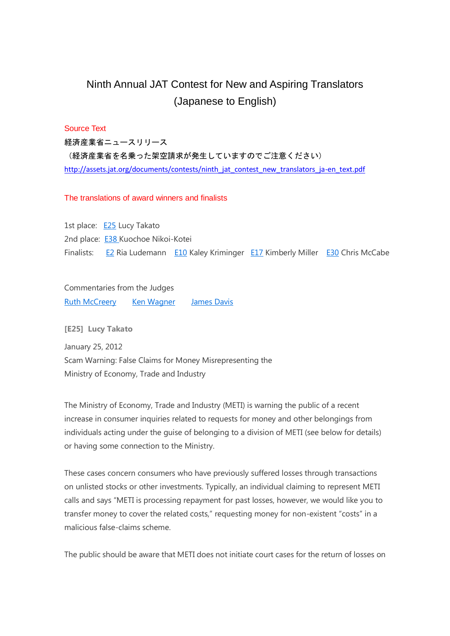# Ninth Annual JAT Contest for New and Aspiring Translators (Japanese to English)

# Source Text

経済産業省ニュースリリース (経済産業省を名乗った架空請求が発生していますのでご注意ください) [http://assets.jat.org/documents/contests/ninth\\_jat\\_contest\\_new\\_translators\\_ja-en\\_text.pdf](http://assets.jat.org/documents/contests/ninth_jat_contest_new_translators_ja-en_text.pdf)

## The translations of award winners and finalists

1st place: [E25](http://jat.org/events/show/ninth_annual_jat_contest_translations_of_award_winners_and_finalists#E25) Lucy Takato 2nd place: [E38](http://jat.org/events/show/ninth_annual_jat_contest_translations_of_award_winners_and_finalists#E38) Kuochoe Nikoi-Kotei Finalists: [E2](http://jat.org/events/show/ninth_annual_jat_contest_translations_of_award_winners_and_finalists#E2) Ria Ludemann [E10](http://jat.org/events/show/ninth_annual_jat_contest_translations_of_award_winners_and_finalists#E10) Kaley Kriminger [E17](http://jat.org/events/show/ninth_annual_jat_contest_translations_of_award_winners_and_finalists#E17) Kimberly Miller [E30](http://jat.org/events/show/ninth_annual_jat_contest_translations_of_award_winners_and_finalists#E30) Chris McCabe

Commentaries from the Judges

Ruth [McCreery](http://jat.org/events/show/ninth_annual_jat_contest_for_new_and_aspiring_translators_commentaries_from#R) Ken [Wagner](http://jat.org/events/show/ninth_annual_jat_contest_for_new_and_aspiring_translators_commentaries_from#K) [James](http://jat.org/events/show/ninth_annual_jat_contest_for_new_and_aspiring_translators_commentaries_from#J) Davis

**[E25] Lucy Takato**

January 25, 2012 Scam Warning: False Claims for Money Misrepresenting the Ministry of Economy, Trade and Industry

The Ministry of Economy, Trade and Industry (METI) is warning the public of a recent increase in consumer inquiries related to requests for money and other belongings from individuals acting under the guise of belonging to a division of METI (see below for details) or having some connection to the Ministry.

These cases concern consumers who have previously suffered losses through transactions on unlisted stocks or other investments. Typically, an individual claiming to represent METI calls and says "METI is processing repayment for past losses, however, we would like you to transfer money to cover the related costs," requesting money for non-existent "costs" in a malicious false-claims scheme.

The public should be aware that METI does not initiate court cases for the return of losses on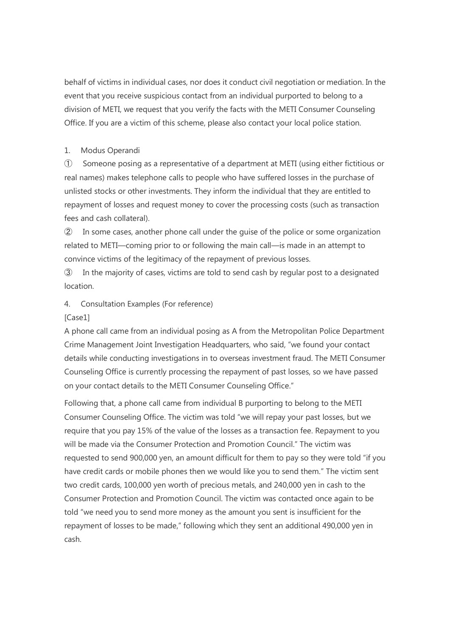behalf of victims in individual cases, nor does it conduct civil negotiation or mediation. In the event that you receive suspicious contact from an individual purported to belong to a division of METI, we request that you verify the facts with the METI Consumer Counseling Office. If you are a victim of this scheme, please also contact your local police station.

# 1. Modus Operandi

① Someone posing as a representative of a department at METI (using either fictitious or real names) makes telephone calls to people who have suffered losses in the purchase of unlisted stocks or other investments. They inform the individual that they are entitled to repayment of losses and request money to cover the processing costs (such as transaction fees and cash collateral).

② In some cases, another phone call under the guise of the police or some organization related to METI—coming prior to or following the main call—is made in an attempt to convince victims of the legitimacy of the repayment of previous losses.

③ In the majority of cases, victims are told to send cash by regular post to a designated location.

4. Consultation Examples (For reference)

# [Case1]

A phone call came from an individual posing as A from the Metropolitan Police Department Crime Management Joint Investigation Headquarters, who said, "we found your contact details while conducting investigations in to overseas investment fraud. The METI Consumer Counseling Office is currently processing the repayment of past losses, so we have passed on your contact details to the METI Consumer Counseling Office."

Following that, a phone call came from individual B purporting to belong to the METI Consumer Counseling Office. The victim was told "we will repay your past losses, but we require that you pay 15% of the value of the losses as a transaction fee. Repayment to you will be made via the Consumer Protection and Promotion Council." The victim was requested to send 900,000 yen, an amount difficult for them to pay so they were told "if you have credit cards or mobile phones then we would like you to send them." The victim sent two credit cards, 100,000 yen worth of precious metals, and 240,000 yen in cash to the Consumer Protection and Promotion Council. The victim was contacted once again to be told "we need you to send more money as the amount you sent is insufficient for the repayment of losses to be made," following which they sent an additional 490,000 yen in cash.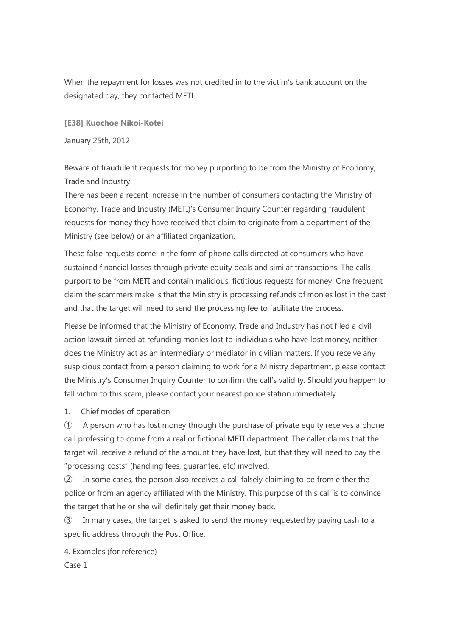When the repayment for losses was not credited in to the victim's bank account on the designated day, they contacted METI.

**[E38] Kuochoe Nikoi-Kotei**

January 25th, 2012

Beware of fraudulent requests for money purporting to be from the Ministry of Economy, Trade and Industry

There has been a recent increase in the number of consumers contacting the Ministry of Economy, Trade and Industry (METI)'s Consumer Inquiry Counter regarding fraudulent requests for money they have received that claim to originate from a department of the Ministry (see below) or an affiliated organization.

These false requests come in the form of phone calls directed at consumers who have sustained financial losses through private equity deals and similar transactions. The calls purport to be from METI and contain malicious, fictitious requests for money. One frequent claim the scammers make is that the Ministry is processing refunds of monies lost in the past and that the target will need to send the processing fee to facilitate the process.

Please be informed that the Ministry of Economy, Trade and Industry has not filed a civil action lawsuit aimed at refunding monies lost to individuals who have lost money, neither does the Ministry act as an intermediary or mediator in civilian matters. If you receive any suspicious contact from a person claiming to work for a Ministry department, please contact the Ministry's Consumer Inquiry Counter to confirm the call's validity. Should you happen to fall victim to this scam, please contact your nearest police station immediately.

1. Chief modes of operation

① A person who has lost money through the purchase of private equity receives a phone call professing to come from a real or fictional METI department. The caller claims that the target will receive a refund of the amount they have lost, but that they will need to pay the "processing costs" (handling fees, guarantee, etc) involved.

② In some cases, the person also receives a call falsely claiming to be from either the police or from an agency affiliated with the Ministry. This purpose of this call is to convince the target that he or she will definitely get their money back.

③ In many cases, the target is asked to send the money requested by paying cash to a specific address through the Post Office.

4. Examples (for reference) Case 1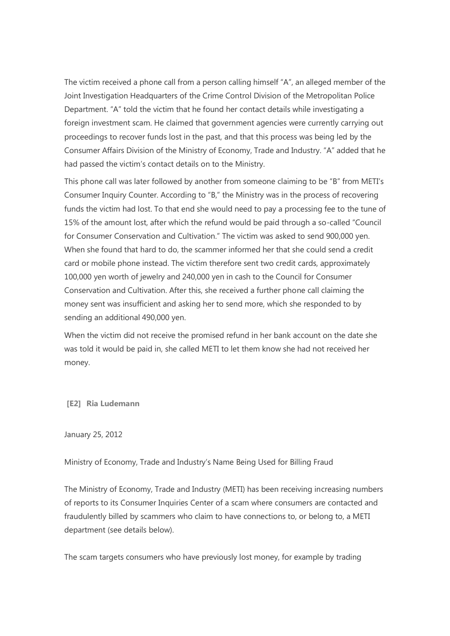The victim received a phone call from a person calling himself "A", an alleged member of the Joint Investigation Headquarters of the Crime Control Division of the Metropolitan Police Department. "A" told the victim that he found her contact details while investigating a foreign investment scam. He claimed that government agencies were currently carrying out proceedings to recover funds lost in the past, and that this process was being led by the Consumer Affairs Division of the Ministry of Economy, Trade and Industry. "A" added that he had passed the victim's contact details on to the Ministry.

This phone call was later followed by another from someone claiming to be "B" from METI's Consumer Inquiry Counter. According to "B," the Ministry was in the process of recovering funds the victim had lost. To that end she would need to pay a processing fee to the tune of 15% of the amount lost, after which the refund would be paid through a so-called "Council for Consumer Conservation and Cultivation." The victim was asked to send 900,000 yen. When she found that hard to do, the scammer informed her that she could send a credit card or mobile phone instead. The victim therefore sent two credit cards, approximately 100,000 yen worth of jewelry and 240,000 yen in cash to the Council for Consumer Conservation and Cultivation. After this, she received a further phone call claiming the money sent was insufficient and asking her to send more, which she responded to by sending an additional 490,000 yen.

When the victim did not receive the promised refund in her bank account on the date she was told it would be paid in, she called METI to let them know she had not received her money.

**[E2] Ria Ludemann**

January 25, 2012

Ministry of Economy, Trade and Industry's Name Being Used for Billing Fraud

The Ministry of Economy, Trade and Industry (METI) has been receiving increasing numbers of reports to its Consumer Inquiries Center of a scam where consumers are contacted and fraudulently billed by scammers who claim to have connections to, or belong to, a METI department (see details below).

The scam targets consumers who have previously lost money, for example by trading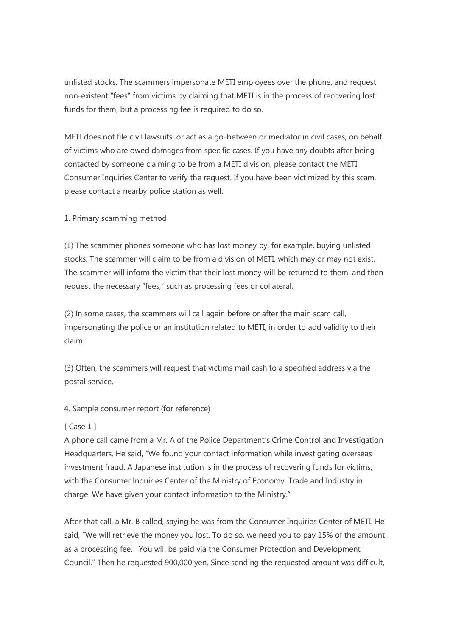unlisted stocks. The scammers impersonate METI employees over the phone, and request non-existent "fees" from victims by claiming that METI is in the process of recovering lost funds for them, but a processing fee is required to do so.

METI does not file civil lawsuits, or act as a go-between or mediator in civil cases, on behalf of victims who are owed damages from specific cases. If you have any doubts after being contacted by someone claiming to be from a METI division, please contact the METI Consumer Inquiries Center to verify the request. If you have been victimized by this scam, please contact a nearby police station as well.

1. Primary scamming method

(1) The scammer phones someone who has lost money by, for example, buying unlisted stocks. The scammer will claim to be from a division of METI, which may or may not exist. The scammer will inform the victim that their lost money will be returned to them, and then request the necessary "fees," such as processing fees or collateral.

(2) In some cases, the scammers will call again before or after the main scam call, impersonating the police or an institution related to METI, in order to add validity to their claim.

(3) Often, the scammers will request that victims mail cash to a specified address via the postal service.

4. Sample consumer report (for reference)

# [ Case 1 ]

A phone call came from a Mr. A of the Police Department's Crime Control and Investigation Headquarters. He said, "We found your contact information while investigating overseas investment fraud. A Japanese institution is in the process of recovering funds for victims, with the Consumer Inquiries Center of the Ministry of Economy, Trade and Industry in charge. We have given your contact information to the Ministry."

After that call, a Mr. B called, saying he was from the Consumer Inquiries Center of METI. He said, "We will retrieve the money you lost. To do so, we need you to pay 15% of the amount as a processing fee. You will be paid via the Consumer Protection and Development Council." Then he requested 900,000 yen. Since sending the requested amount was difficult,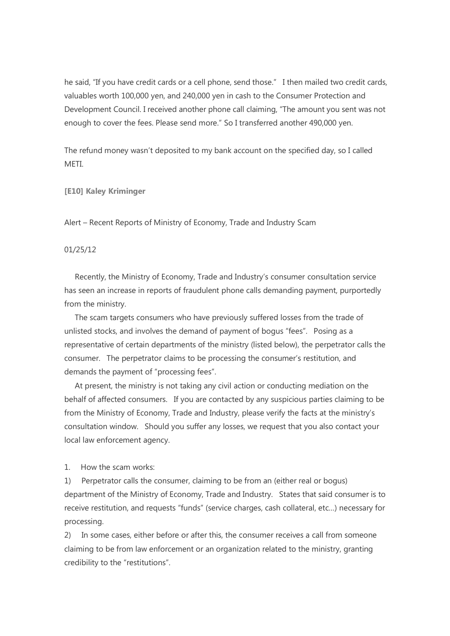he said, "If you have credit cards or a cell phone, send those." I then mailed two credit cards, valuables worth 100,000 yen, and 240,000 yen in cash to the Consumer Protection and Development Council. I received another phone call claiming, "The amount you sent was not enough to cover the fees. Please send more." So I transferred another 490,000 yen.

The refund money wasn't deposited to my bank account on the specified day, so I called **MFTI** 

**[E10] Kaley Kriminger**

Alert – Recent Reports of Ministry of Economy, Trade and Industry Scam

## 01/25/12

Recently, the Ministry of Economy, Trade and Industry's consumer consultation service has seen an increase in reports of fraudulent phone calls demanding payment, purportedly from the ministry.

The scam targets consumers who have previously suffered losses from the trade of unlisted stocks, and involves the demand of payment of bogus "fees". Posing as a representative of certain departments of the ministry (listed below), the perpetrator calls the consumer. The perpetrator claims to be processing the consumer's restitution, and demands the payment of "processing fees".

At present, the ministry is not taking any civil action or conducting mediation on the behalf of affected consumers. If you are contacted by any suspicious parties claiming to be from the Ministry of Economy, Trade and Industry, please verify the facts at the ministry's consultation window. Should you suffer any losses, we request that you also contact your local law enforcement agency.

1. How the scam works:

1) Perpetrator calls the consumer, claiming to be from an (either real or bogus) department of the Ministry of Economy, Trade and Industry. States that said consumer is to receive restitution, and requests "funds" (service charges, cash collateral, etc…) necessary for processing.

2) In some cases, either before or after this, the consumer receives a call from someone claiming to be from law enforcement or an organization related to the ministry, granting credibility to the "restitutions".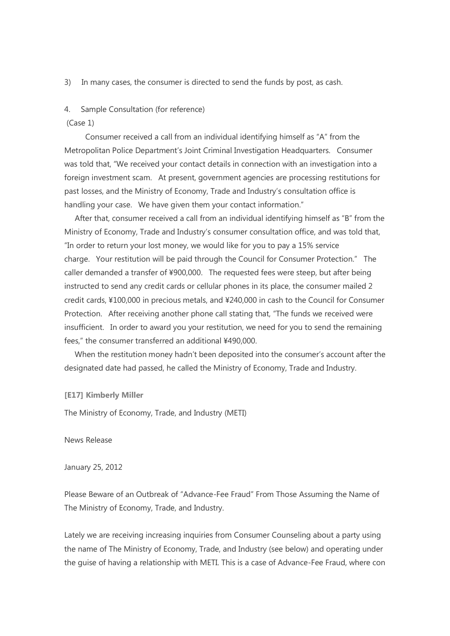3) In many cases, the consumer is directed to send the funds by post, as cash.

## 4. Sample Consultation (for reference)

#### (Case 1)

Consumer received a call from an individual identifying himself as "A" from the Metropolitan Police Department's Joint Criminal Investigation Headquarters. Consumer was told that, "We received your contact details in connection with an investigation into a foreign investment scam. At present, government agencies are processing restitutions for past losses, and the Ministry of Economy, Trade and Industry's consultation office is handling your case. We have given them your contact information."

After that, consumer received a call from an individual identifying himself as "B" from the Ministry of Economy, Trade and Industry's consumer consultation office, and was told that, "In order to return your lost money, we would like for you to pay a 15% service charge. Your restitution will be paid through the Council for Consumer Protection." The caller demanded a transfer of ¥900,000. The requested fees were steep, but after being instructed to send any credit cards or cellular phones in its place, the consumer mailed 2 credit cards, ¥100,000 in precious metals, and ¥240,000 in cash to the Council for Consumer Protection. After receiving another phone call stating that, "The funds we received were insufficient. In order to award you your restitution, we need for you to send the remaining fees," the consumer transferred an additional ¥490,000.

When the restitution money hadn't been deposited into the consumer's account after the designated date had passed, he called the Ministry of Economy, Trade and Industry.

**[E17] Kimberly Miller**

The Ministry of Economy, Trade, and Industry (METI)

News Release

January 25, 2012

Please Beware of an Outbreak of "Advance-Fee Fraud" From Those Assuming the Name of The Ministry of Economy, Trade, and Industry.

Lately we are receiving increasing inquiries from Consumer Counseling about a party using the name of The Ministry of Economy, Trade, and Industry (see below) and operating under the guise of having a relationship with METI. This is a case of Advance-Fee Fraud, where con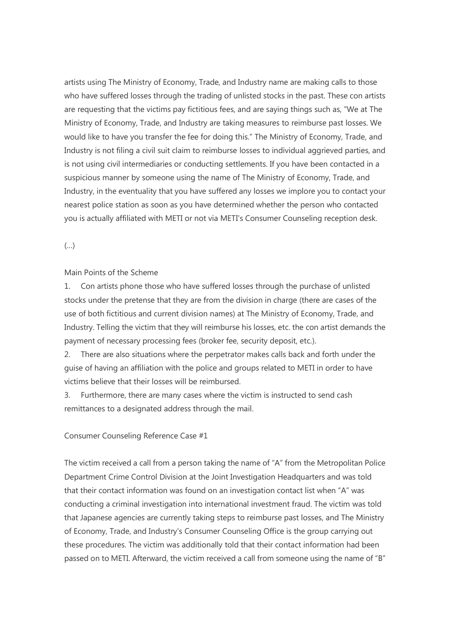artists using The Ministry of Economy, Trade, and Industry name are making calls to those who have suffered losses through the trading of unlisted stocks in the past. These con artists are requesting that the victims pay fictitious fees, and are saying things such as, "We at The Ministry of Economy, Trade, and Industry are taking measures to reimburse past losses. We would like to have you transfer the fee for doing this." The Ministry of Economy, Trade, and Industry is not filing a civil suit claim to reimburse losses to individual aggrieved parties, and is not using civil intermediaries or conducting settlements. If you have been contacted in a suspicious manner by someone using the name of The Ministry of Economy, Trade, and Industry, in the eventuality that you have suffered any losses we implore you to contact your nearest police station as soon as you have determined whether the person who contacted you is actually affiliated with METI or not via METI's Consumer Counseling reception desk.

(…)

# Main Points of the Scheme

1. Con artists phone those who have suffered losses through the purchase of unlisted stocks under the pretense that they are from the division in charge (there are cases of the use of both fictitious and current division names) at The Ministry of Economy, Trade, and Industry. Telling the victim that they will reimburse his losses, etc. the con artist demands the payment of necessary processing fees (broker fee, security deposit, etc.).

2. There are also situations where the perpetrator makes calls back and forth under the guise of having an affiliation with the police and groups related to METI in order to have victims believe that their losses will be reimbursed.

3. Furthermore, there are many cases where the victim is instructed to send cash remittances to a designated address through the mail.

# Consumer Counseling Reference Case #1

The victim received a call from a person taking the name of "A" from the Metropolitan Police Department Crime Control Division at the Joint Investigation Headquarters and was told that their contact information was found on an investigation contact list when "A" was conducting a criminal investigation into international investment fraud. The victim was told that Japanese agencies are currently taking steps to reimburse past losses, and The Ministry of Economy, Trade, and Industry's Consumer Counseling Office is the group carrying out these procedures. The victim was additionally told that their contact information had been passed on to METI. Afterward, the victim received a call from someone using the name of "B"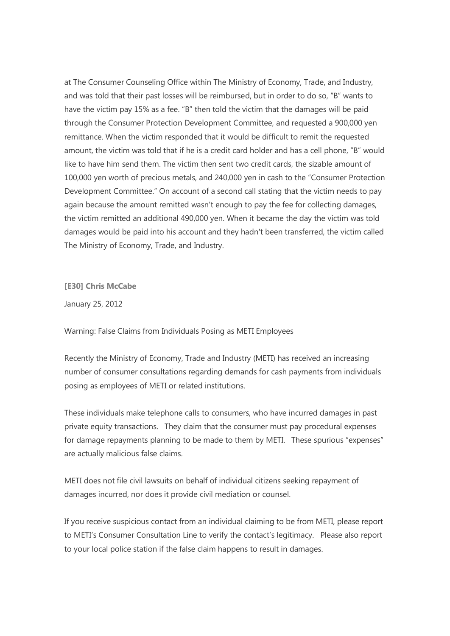at The Consumer Counseling Office within The Ministry of Economy, Trade, and Industry, and was told that their past losses will be reimbursed, but in order to do so, "B" wants to have the victim pay 15% as a fee. "B" then told the victim that the damages will be paid through the Consumer Protection Development Committee, and requested a 900,000 yen remittance. When the victim responded that it would be difficult to remit the requested amount, the victim was told that if he is a credit card holder and has a cell phone, "B" would like to have him send them. The victim then sent two credit cards, the sizable amount of 100,000 yen worth of precious metals, and 240,000 yen in cash to the "Consumer Protection Development Committee." On account of a second call stating that the victim needs to pay again because the amount remitted wasn't enough to pay the fee for collecting damages, the victim remitted an additional 490,000 yen. When it became the day the victim was told damages would be paid into his account and they hadn't been transferred, the victim called The Ministry of Economy, Trade, and Industry.

**[E30] Chris McCabe**

January 25, 2012

Warning: False Claims from Individuals Posing as METI Employees

Recently the Ministry of Economy, Trade and Industry (METI) has received an increasing number of consumer consultations regarding demands for cash payments from individuals posing as employees of METI or related institutions.

These individuals make telephone calls to consumers, who have incurred damages in past private equity transactions. They claim that the consumer must pay procedural expenses for damage repayments planning to be made to them by METI. These spurious "expenses" are actually malicious false claims.

METI does not file civil lawsuits on behalf of individual citizens seeking repayment of damages incurred, nor does it provide civil mediation or counsel.

If you receive suspicious contact from an individual claiming to be from METI, please report to METI's Consumer Consultation Line to verify the contact's legitimacy. Please also report to your local police station if the false claim happens to result in damages.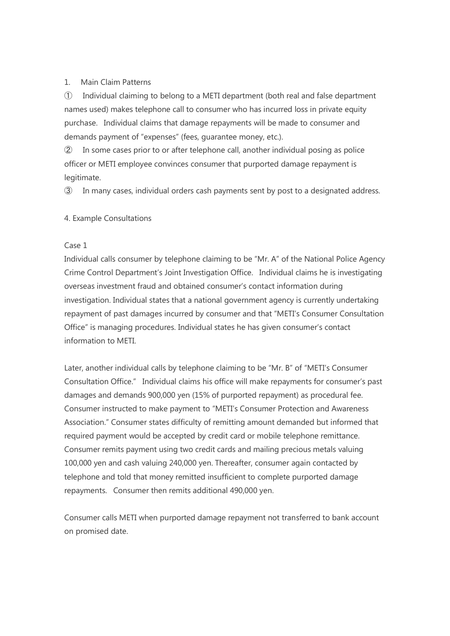# 1. Main Claim Patterns

① Individual claiming to belong to a METI department (both real and false department names used) makes telephone call to consumer who has incurred loss in private equity purchase. Individual claims that damage repayments will be made to consumer and demands payment of "expenses" (fees, guarantee money, etc.).

② In some cases prior to or after telephone call, another individual posing as police officer or METI employee convinces consumer that purported damage repayment is legitimate.

③ In many cases, individual orders cash payments sent by post to a designated address.

# 4. Example Consultations

# Case 1

Individual calls consumer by telephone claiming to be "Mr. A" of the National Police Agency Crime Control Department's Joint Investigation Office. Individual claims he is investigating overseas investment fraud and obtained consumer's contact information during investigation. Individual states that a national government agency is currently undertaking repayment of past damages incurred by consumer and that "METI's Consumer Consultation Office" is managing procedures. Individual states he has given consumer's contact information to METI.

Later, another individual calls by telephone claiming to be "Mr. B" of "METI's Consumer Consultation Office." Individual claims his office will make repayments for consumer's past damages and demands 900,000 yen (15% of purported repayment) as procedural fee. Consumer instructed to make payment to "METI's Consumer Protection and Awareness Association." Consumer states difficulty of remitting amount demanded but informed that required payment would be accepted by credit card or mobile telephone remittance. Consumer remits payment using two credit cards and mailing precious metals valuing 100,000 yen and cash valuing 240,000 yen. Thereafter, consumer again contacted by telephone and told that money remitted insufficient to complete purported damage repayments. Consumer then remits additional 490,000 yen.

Consumer calls METI when purported damage repayment not transferred to bank account on promised date.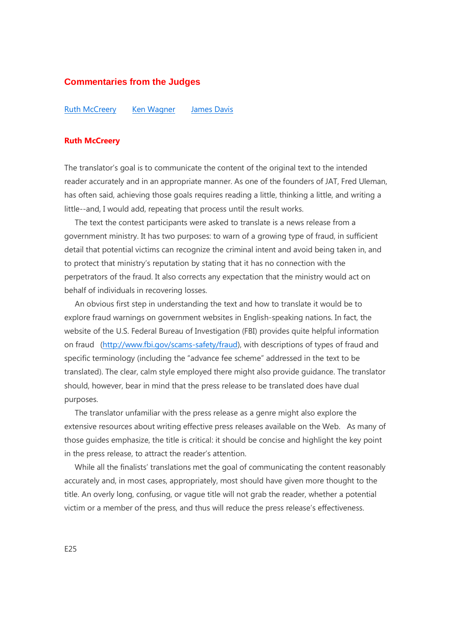# **Commentaries from the Judges**

Ruth [McCreery](http://jat.org/events/show/ninth_annual_jat_contest_for_new_and_aspiring_translators_commentaries_from#R) Ken [Wagner](http://jat.org/events/show/ninth_annual_jat_contest_for_new_and_aspiring_translators_commentaries_from#K) [James](http://jat.org/events/show/ninth_annual_jat_contest_for_new_and_aspiring_translators_commentaries_from#J) Davis

## **Ruth McCreery**

The translator's goal is to communicate the content of the original text to the intended reader accurately and in an appropriate manner. As one of the founders of JAT, Fred Uleman, has often said, achieving those goals requires reading a little, thinking a little, and writing a little--and, I would add, repeating that process until the result works.

The text the contest participants were asked to translate is a news release from a government ministry. It has two purposes: to warn of a growing type of fraud, in sufficient detail that potential victims can recognize the criminal intent and avoid being taken in, and to protect that ministry's reputation by stating that it has no connection with the perpetrators of the fraud. It also corrects any expectation that the ministry would act on behalf of individuals in recovering losses.

An obvious first step in understanding the text and how to translate it would be to explore fraud warnings on government websites in English-speaking nations. In fact, the website of the U.S. Federal Bureau of Investigation (FBI) provides quite helpful information on fraud [\(http://www.fbi.gov/scams-safety/fraud\)](http://www.fbi.gov/scams-safety/fraud), with descriptions of types of fraud and specific terminology (including the "advance fee scheme" addressed in the text to be translated). The clear, calm style employed there might also provide guidance. The translator should, however, bear in mind that the press release to be translated does have dual purposes.

The translator unfamiliar with the press release as a genre might also explore the extensive resources about writing effective press releases available on the Web. As many of those guides emphasize, the title is critical: it should be concise and highlight the key point in the press release, to attract the reader's attention.

While all the finalists' translations met the goal of communicating the content reasonably accurately and, in most cases, appropriately, most should have given more thought to the title. An overly long, confusing, or vague title will not grab the reader, whether a potential victim or a member of the press, and thus will reduce the press release's effectiveness.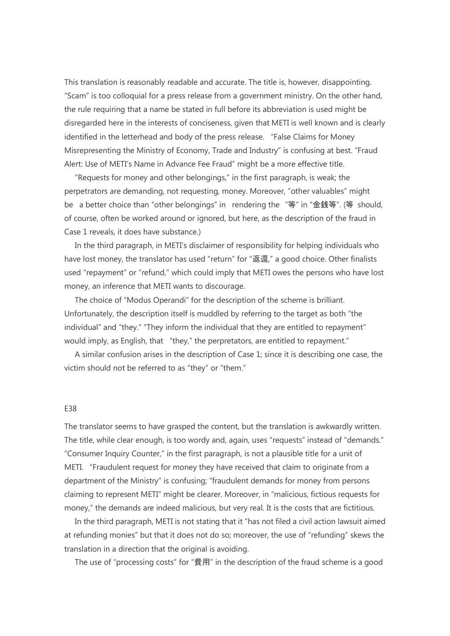This translation is reasonably readable and accurate. The title is, however, disappointing. "Scam" is too colloquial for a press release from a government ministry. On the other hand, the rule requiring that a name be stated in full before its abbreviation is used might be disregarded here in the interests of conciseness, given that METI is well known and is clearly identified in the letterhead and body of the press release. "False Claims for Money Misrepresenting the Ministry of Economy, Trade and Industry" is confusing at best. "Fraud Alert: Use of METI's Name in Advance Fee Fraud" might be a more effective title.

"Requests for money and other belongings," in the first paragraph, is weak; the perpetrators are demanding, not requesting, money. Moreover, "other valuables" might be a better choice than "other belongings" in rendering the "等" in "金銭等". (等 should, of course, often be worked around or ignored, but here, as the description of the fraud in Case 1 reveals, it does have substance.)

In the third paragraph, in METI's disclaimer of responsibility for helping individuals who have lost money, the translator has used "return" for "返還," a good choice. Other finalists used "repayment" or "refund," which could imply that METI owes the persons who have lost money, an inference that METI wants to discourage.

The choice of "Modus Operandi" for the description of the scheme is brilliant. Unfortunately, the description itself is muddled by referring to the target as both "the individual" and "they." "They inform the individual that they are entitled to repayment" would imply, as English, that "they," the perpretators, are entitled to repayment."

A similar confusion arises in the description of Case 1; since it is describing one case, the victim should not be referred to as "they" or "them."

## E38

The translator seems to have grasped the content, but the translation is awkwardly written. The title, while clear enough, is too wordy and, again, uses "requests" instead of "demands." "Consumer Inquiry Counter," in the first paragraph, is not a plausible title for a unit of METI. "Fraudulent request for money they have received that claim to originate from a department of the Ministry" is confusing; "fraudulent demands for money from persons claiming to represent METI" might be clearer. Moreover, in "malicious, fictious requests for money," the demands are indeed malicious, but very real. It is the costs that are fictitious.

In the third paragraph, METI is not stating that it "has not filed a civil action lawsuit aimed at refunding monies" but that it does not do so; moreover, the use of "refunding" skews the translation in a direction that the original is avoiding.

The use of "processing costs" for "費用" in the description of the fraud scheme is a good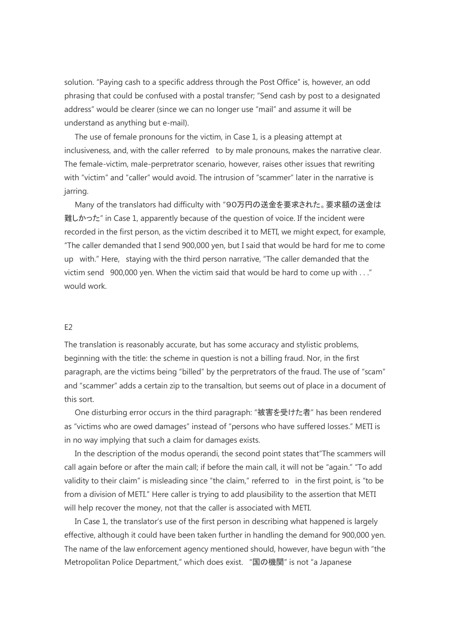solution. "Paying cash to a specific address through the Post Office" is, however, an odd phrasing that could be confused with a postal transfer; "Send cash by post to a designated address" would be clearer (since we can no longer use "mail" and assume it will be understand as anything but e-mail).

The use of female pronouns for the victim, in Case 1, is a pleasing attempt at inclusiveness, and, with the caller referred to by male pronouns, makes the narrative clear. The female-victim, male-perpretrator scenario, however, raises other issues that rewriting with "victim" and "caller" would avoid. The intrusion of "scammer" later in the narrative is jarring.

Many of the translators had difficulty with "90万円の送金を要求された。要求額の送金は 難しかった" in Case 1, apparently because of the question of voice. If the incident were recorded in the first person, as the victim described it to METI, we might expect, for example, "The caller demanded that I send 900,000 yen, but I said that would be hard for me to come up with." Here, staying with the third person narrative, "The caller demanded that the victim send 900,000 yen. When the victim said that would be hard to come up with . . ." would work.

## E2

The translation is reasonably accurate, but has some accuracy and stylistic problems, beginning with the title: the scheme in question is not a billing fraud. Nor, in the first paragraph, are the victims being "billed" by the perpretrators of the fraud. The use of "scam" and "scammer" adds a certain zip to the transaltion, but seems out of place in a document of this sort.

One disturbing error occurs in the third paragraph: "被害を受けた者" has been rendered as "victims who are owed damages" instead of "persons who have suffered losses." METI is in no way implying that such a claim for damages exists.

In the description of the modus operandi, the second point states that"The scammers will call again before or after the main call; if before the main call, it will not be "again." "To add validity to their claim" is misleading since "the claim," referred to in the first point, is "to be from a division of METI." Here caller is trying to add plausibility to the assertion that METI will help recover the money, not that the caller is associated with METI.

In Case 1, the translator's use of the first person in describing what happened is largely effective, although it could have been taken further in handling the demand for 900,000 yen. The name of the law enforcement agency mentioned should, however, have begun with "the Metropolitan Police Department," which does exist. "国の機関" is not "a Japanese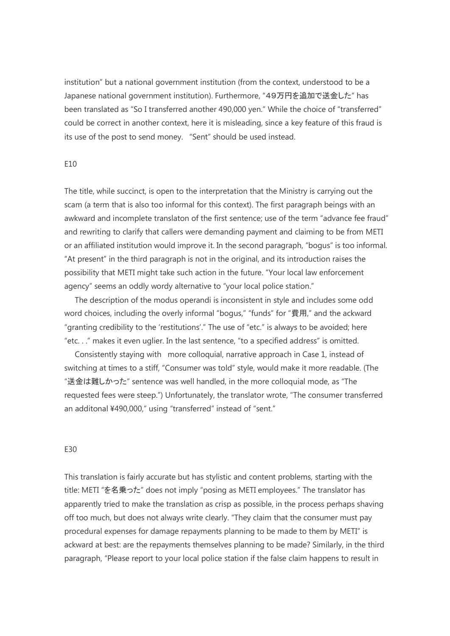institution" but a national government institution (from the context, understood to be a Japanese national government institution). Furthermore, "49万円を追加で送金した" has been translated as "So I transferred another 490,000 yen." While the choice of "transferred" could be correct in another context, here it is misleading, since a key feature of this fraud is its use of the post to send money. "Sent" should be used instead.

## $F10$

The title, while succinct, is open to the interpretation that the Ministry is carrying out the scam (a term that is also too informal for this context). The first paragraph beings with an awkward and incomplete translaton of the first sentence; use of the term "advance fee fraud" and rewriting to clarify that callers were demanding payment and claiming to be from METI or an affiliated institution would improve it. In the second paragraph, "bogus" is too informal. "At present" in the third paragraph is not in the original, and its introduction raises the possibility that METI might take such action in the future. "Your local law enforcement agency" seems an oddly wordy alternative to "your local police station."

The description of the modus operandi is inconsistent in style and includes some odd word choices, including the overly informal "bogus," "funds" for "費用," and the ackward "granting credibility to the 'restitutions'." The use of "etc." is always to be avoided; here "etc. . ." makes it even uglier. In the last sentence, "to a specified address" is omitted.

Consistently staying with more colloquial, narrative approach in Case 1, instead of switching at times to a stiff, "Consumer was told" style, would make it more readable. (The "送金は難しかった" sentence was well handled, in the more colloquial mode, as "The requested fees were steep.") Unfortunately, the translator wrote, "The consumer transferred an additonal ¥490,000," using "transferred" instead of "sent."

## E30

This translation is fairly accurate but has stylistic and content problems, starting with the title: METI "を名乗った" does not imply "posing as METI employees." The translator has apparently tried to make the translation as crisp as possible, in the process perhaps shaving off too much, but does not always write clearly. "They claim that the consumer must pay procedural expenses for damage repayments planning to be made to them by METI" is ackward at best: are the repayments themselves planning to be made? Similarly, in the third paragraph, "Please report to your local police station if the false claim happens to result in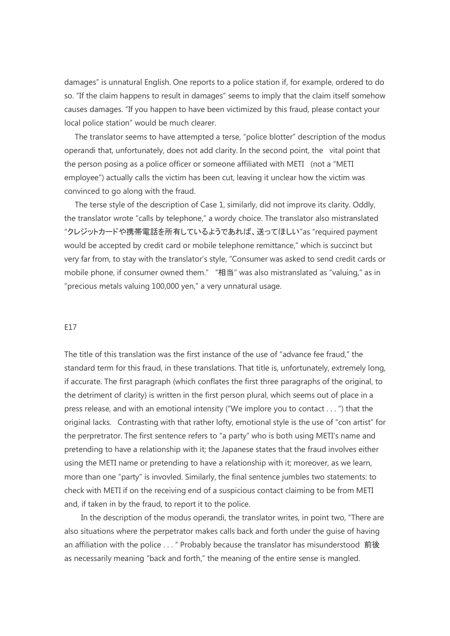damages" is unnatural English. One reports to a police station if, for example, ordered to do so. "If the claim happens to result in damages" seems to imply that the claim itself somehow causes damages. "If you happen to have been victimized by this fraud, please contact your local police station" would be much clearer.

The translator seems to have attempted a terse, "police blotter" description of the modus operandi that, unfortunately, does not add clarity. In the second point, the vital point that the person posing as a police officer or someone affiliated with METI (not a "METI employee") actually calls the victim has been cut, leaving it unclear how the victim was convinced to go along with the fraud.

The terse style of the description of Case 1, similarly, did not improve its clarity. Oddly, the translator wrote "calls by telephone," a wordy choice. The translator also mistranslated "クレジットカードや携帯電話を所有しているようであれば、送ってほしい"as "required payment would be accepted by credit card or mobile telephone remittance," which is succinct but very far from, to stay with the translator's style, "Consumer was asked to send credit cards or mobile phone, if consumer owned them." "相当" was also mistranslated as "valuing," as in "precious metals valuing 100,000 yen," a very unnatural usage.

## E17

The title of this translation was the first instance of the use of "advance fee fraud," the standard term for this fraud, in these translations. That title is, unfortunately, extremely long, if accurate. The first paragraph (which conflates the first three paragraphs of the original, to the detriment of clarity) is written in the first person plural, which seems out of place in a press release, and with an emotional intensity ("We implore you to contact . . . ") that the original lacks. Contrasting with that rather lofty, emotional style is the use of "con artist" for the perpretrator. The first sentence refers to "a party" who is both using METI's name and pretending to have a relationship with it; the Japanese states that the fraud involves either using the METI name or pretending to have a relationship with it; moreover, as we learn, more than one "party" is invovled. Similarly, the final sentence jumbles two statements: to check with METI if on the receiving end of a suspicious contact claiming to be from METI and, if taken in by the fraud, to report it to the police.

In the description of the modus operandi, the translator writes, in point two, "There are also situations where the perpetrator makes calls back and forth under the guise of having an affiliation with the police . . . " Probably because the translator has misunderstood 前後 as necessarily meaning "back and forth," the meaning of the entire sense is mangled.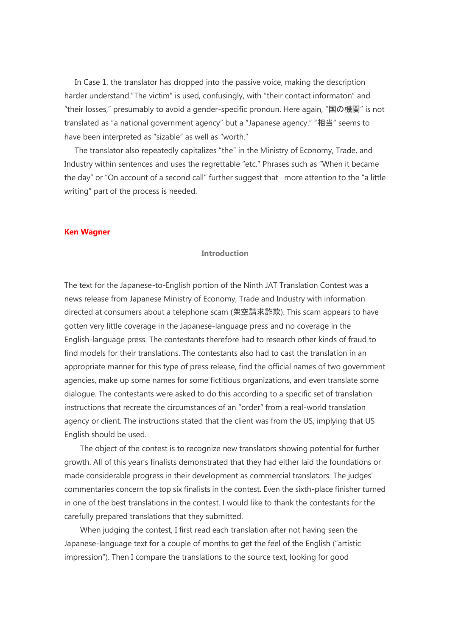In Case 1, the translator has dropped into the passive voice, making the description harder understand."The victim" is used, confusingly, with "their contact informaton" and "their losses," presumably to avoid a gender-specific pronoun. Here again, "国の機関" is not translated as "a national government agency" but a "Japanese agency." "相当" seems to have been interpreted as "sizable" as well as "worth."

The translator also repeatedly capitalizes "the" in the Ministry of Economy, Trade, and Industry within sentences and uses the regrettable "etc." Phrases such as "When it became the day" or "On account of a second call" further suggest that more attention to the "a little writing" part of the process is needed.

#### **Ken Wagner**

# **Introduction**

The text for the Japanese-to-English portion of the Ninth JAT Translation Contest was a news release from Japanese Ministry of Economy, Trade and Industry with information directed at consumers about a telephone scam (架空請求詐欺). This scam appears to have gotten very little coverage in the Japanese-language press and no coverage in the English-language press. The contestants therefore had to research other kinds of fraud to find models for their translations. The contestants also had to cast the translation in an appropriate manner for this type of press release, find the official names of two government agencies, make up some names for some fictitious organizations, and even translate some dialogue. The contestants were asked to do this according to a specific set of translation instructions that recreate the circumstances of an "order" from a real-world translation agency or client. The instructions stated that the client was from the US, implying that US English should be used.

 The object of the contest is to recognize new translators showing potential for further growth. All of this year's finalists demonstrated that they had either laid the foundations or made considerable progress in their development as commercial translators. The judges' commentaries concern the top six finalists in the contest. Even the sixth-place finisher turned in one of the best translations in the contest. I would like to thank the contestants for the carefully prepared translations that they submitted.

 When judging the contest, I first read each translation after not having seen the Japanese-language text for a couple of months to get the feel of the English ("artistic impression"). Then I compare the translations to the source text, looking for good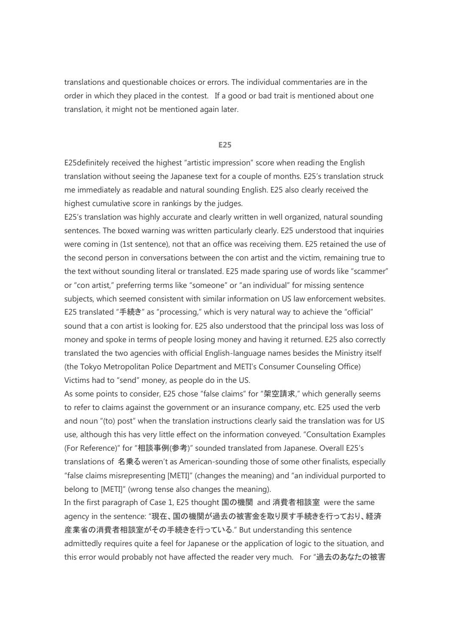translations and questionable choices or errors. The individual commentaries are in the order in which they placed in the contest. If a good or bad trait is mentioned about one translation, it might not be mentioned again later.

#### **E25**

E25definitely received the highest "artistic impression" score when reading the English translation without seeing the Japanese text for a couple of months. E25's translation struck me immediately as readable and natural sounding English. E25 also clearly received the highest cumulative score in rankings by the judges.

E25's translation was highly accurate and clearly written in well organized, natural sounding sentences. The boxed warning was written particularly clearly. E25 understood that inquiries were coming in (1st sentence), not that an office was receiving them. E25 retained the use of the second person in conversations between the con artist and the victim, remaining true to the text without sounding literal or translated. E25 made sparing use of words like "scammer" or "con artist," preferring terms like "someone" or "an individual" for missing sentence subjects, which seemed consistent with similar information on US law enforcement websites. E25 translated "手続き" as "processing," which is very natural way to achieve the "official" sound that a con artist is looking for. E25 also understood that the principal loss was loss of money and spoke in terms of people losing money and having it returned. E25 also correctly translated the two agencies with official English-language names besides the Ministry itself (the Tokyo Metropolitan Police Department and METI's Consumer Counseling Office) Victims had to "send" money, as people do in the US.

As some points to consider, E25 chose "false claims" for "架空請求," which generally seems to refer to claims against the government or an insurance company, etc. E25 used the verb and noun "(to) post" when the translation instructions clearly said the translation was for US use, although this has very little effect on the information conveyed. "Consultation Examples (For Reference)" for "相談事例(参考)" sounded translated from Japanese. Overall E25's translations of 名乗る weren't as American-sounding those of some other finalists, especially "false claims misrepresenting [METI]" (changes the meaning) and "an individual purported to belong to [METI]" (wrong tense also changes the meaning).

In the first paragraph of Case 1, E25 thought 国の機関 and 消費者相談室 were the same agency in the sentence: "現在、国の機関が過去の被害金を取り戻す手続きを行っており、経済 産業省の消費者相談室がその手続きを行っている." But understanding this sentence admittedly requires quite a feel for Japanese or the application of logic to the situation, and this error would probably not have affected the reader very much. For "過去のあなたの被害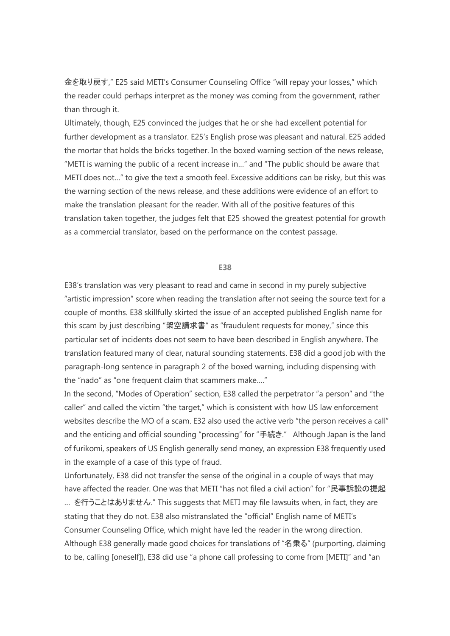金を取り戻す," E25 said METI's Consumer Counseling Office "will repay your losses," which the reader could perhaps interpret as the money was coming from the government, rather than through it.

Ultimately, though, E25 convinced the judges that he or she had excellent potential for further development as a translator. E25's English prose was pleasant and natural. E25 added the mortar that holds the bricks together. In the boxed warning section of the news release, "METI is warning the public of a recent increase in…" and "The public should be aware that METI does not…" to give the text a smooth feel. Excessive additions can be risky, but this was the warning section of the news release, and these additions were evidence of an effort to make the translation pleasant for the reader. With all of the positive features of this translation taken together, the judges felt that E25 showed the greatest potential for growth as a commercial translator, based on the performance on the contest passage.

#### **E38**

E38's translation was very pleasant to read and came in second in my purely subjective "artistic impression" score when reading the translation after not seeing the source text for a couple of months. E38 skillfully skirted the issue of an accepted published English name for this scam by just describing "架空請求書" as "fraudulent requests for money," since this particular set of incidents does not seem to have been described in English anywhere. The translation featured many of clear, natural sounding statements. E38 did a good job with the paragraph-long sentence in paragraph 2 of the boxed warning, including dispensing with the "nado" as "one frequent claim that scammers make…."

In the second, "Modes of Operation" section, E38 called the perpetrator "a person" and "the caller" and called the victim "the target," which is consistent with how US law enforcement websites describe the MO of a scam. E32 also used the active verb "the person receives a call" and the enticing and official sounding "processing" for "手続き." Although Japan is the land of furikomi, speakers of US English generally send money, an expression E38 frequently used in the example of a case of this type of fraud.

Unfortunately, E38 did not transfer the sense of the original in a couple of ways that may have affected the reader. One was that METI "has not filed a civil action" for "民事訴訟の提起 ... を行うことはありません." This suggests that METI may file lawsuits when, in fact, they are stating that they do not. E38 also mistranslated the "official" English name of METI's Consumer Counseling Office, which might have led the reader in the wrong direction. Although E38 generally made good choices for translations of "名乗る" (purporting, claiming to be, calling [oneself]), E38 did use "a phone call professing to come from [METI]" and "an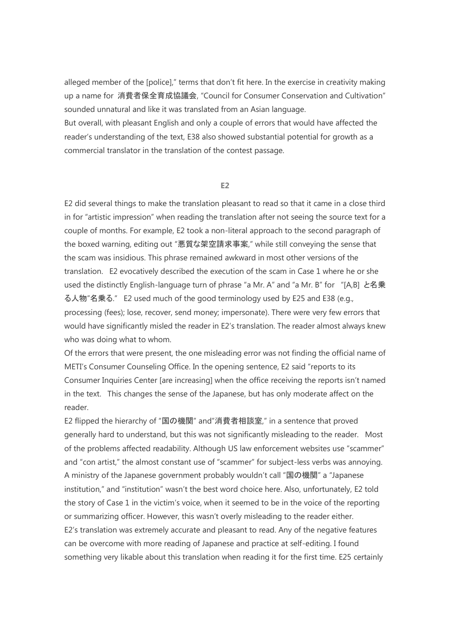alleged member of the [police]," terms that don't fit here. In the exercise in creativity making up a name for 消費者保全育成協議会, "Council for Consumer Conservation and Cultivation" sounded unnatural and like it was translated from an Asian language.

But overall, with pleasant English and only a couple of errors that would have affected the reader's understanding of the text, E38 also showed substantial potential for growth as a commercial translator in the translation of the contest passage.

# **E2**

E2 did several things to make the translation pleasant to read so that it came in a close third in for "artistic impression" when reading the translation after not seeing the source text for a couple of months. For example, E2 took a non-literal approach to the second paragraph of the boxed warning, editing out "悪質な架空請求事案," while still conveying the sense that the scam was insidious. This phrase remained awkward in most other versions of the translation. E2 evocatively described the execution of the scam in Case 1 where he or she used the distinctly English-language turn of phrase "a Mr. A" and "a Mr. B" for "[A,B] と名乗 る人物"名乗る." E2 used much of the good terminology used by E25 and E38 (e.g., processing (fees); lose, recover, send money; impersonate). There were very few errors that would have significantly misled the reader in E2's translation. The reader almost always knew who was doing what to whom.

Of the errors that were present, the one misleading error was not finding the official name of METI's Consumer Counseling Office. In the opening sentence, E2 said "reports to its Consumer Inquiries Center [are increasing] when the office receiving the reports isn't named in the text. This changes the sense of the Japanese, but has only moderate affect on the reader.

E2 flipped the hierarchy of "国の機関" and"消費者相談室," in a sentence that proved generally hard to understand, but this was not significantly misleading to the reader. Most of the problems affected readability. Although US law enforcement websites use "scammer" and "con artist," the almost constant use of "scammer" for subject-less verbs was annoying. A ministry of the Japanese government probably wouldn't call "国の機関" a "Japanese institution," and "institution" wasn't the best word choice here. Also, unfortunately, E2 told the story of Case 1 in the victim's voice, when it seemed to be in the voice of the reporting or summarizing officer. However, this wasn't overly misleading to the reader either. E2's translation was extremely accurate and pleasant to read. Any of the negative features can be overcome with more reading of Japanese and practice at self-editing. I found something very likable about this translation when reading it for the first time. E25 certainly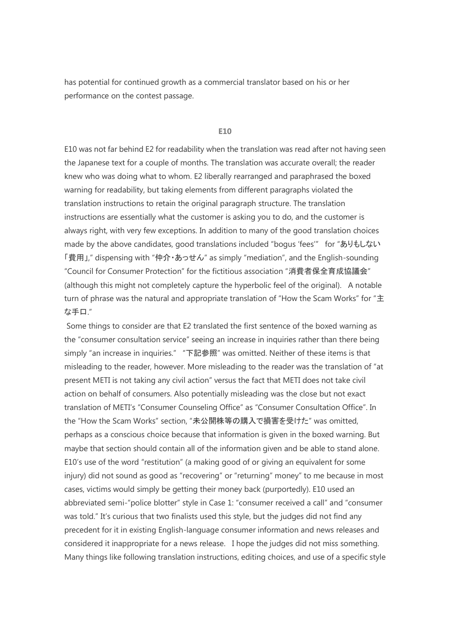has potential for continued growth as a commercial translator based on his or her performance on the contest passage.

#### **E10**

E10 was not far behind E2 for readability when the translation was read after not having seen the Japanese text for a couple of months. The translation was accurate overall; the reader knew who was doing what to whom. E2 liberally rearranged and paraphrased the boxed warning for readability, but taking elements from different paragraphs violated the translation instructions to retain the original paragraph structure. The translation instructions are essentially what the customer is asking you to do, and the customer is always right, with very few exceptions. In addition to many of the good translation choices made by the above candidates, good translations included "bogus 'fees'" for "ありもしない 「費用」," dispensing with "仲介・あっせん" as simply "mediation", and the English-sounding "Council for Consumer Protection" for the fictitious association "消費者保全育成協議会" (although this might not completely capture the hyperbolic feel of the original). A notable turn of phrase was the natural and appropriate translation of "How the Scam Works" for "主 な手口."

Some things to consider are that E2 translated the first sentence of the boxed warning as the "consumer consultation service" seeing an increase in inquiries rather than there being simply "an increase in inquiries." "下記参照" was omitted. Neither of these items is that misleading to the reader, however. More misleading to the reader was the translation of "at present METI is not taking any civil action" versus the fact that METI does not take civil action on behalf of consumers. Also potentially misleading was the close but not exact translation of METI's "Consumer Counseling Office" as "Consumer Consultation Office". In the "How the Scam Works" section, "未公開株等の購入で損害を受けた" was omitted, perhaps as a conscious choice because that information is given in the boxed warning. But maybe that section should contain all of the information given and be able to stand alone. E10's use of the word "restitution" (a making good of or giving an equivalent for some injury) did not sound as good as "recovering" or "returning" money" to me because in most cases, victims would simply be getting their money back (purportedly). E10 used an abbreviated semi-"police blotter" style in Case 1: "consumer received a call" and "consumer was told." It's curious that two finalists used this style, but the judges did not find any precedent for it in existing English-language consumer information and news releases and considered it inappropriate for a news release. I hope the judges did not miss something. Many things like following translation instructions, editing choices, and use of a specific style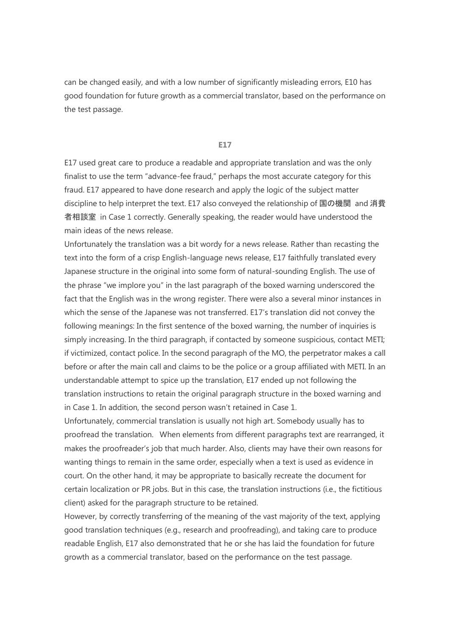can be changed easily, and with a low number of significantly misleading errors, E10 has good foundation for future growth as a commercial translator, based on the performance on the test passage.

### **E17**

E17 used great care to produce a readable and appropriate translation and was the only finalist to use the term "advance-fee fraud," perhaps the most accurate category for this fraud. E17 appeared to have done research and apply the logic of the subject matter discipline to help interpret the text. E17 also conveyed the relationship of 国の機関 and 消費 者相談室 in Case 1 correctly. Generally speaking, the reader would have understood the main ideas of the news release.

Unfortunately the translation was a bit wordy for a news release. Rather than recasting the text into the form of a crisp English-language news release, E17 faithfully translated every Japanese structure in the original into some form of natural-sounding English. The use of the phrase "we implore you" in the last paragraph of the boxed warning underscored the fact that the English was in the wrong register. There were also a several minor instances in which the sense of the Japanese was not transferred. E17's translation did not convey the following meanings: In the first sentence of the boxed warning, the number of inquiries is simply increasing. In the third paragraph, if contacted by someone suspicious, contact METI; if victimized, contact police. In the second paragraph of the MO, the perpetrator makes a call before or after the main call and claims to be the police or a group affiliated with METI. In an understandable attempt to spice up the translation, E17 ended up not following the translation instructions to retain the original paragraph structure in the boxed warning and in Case 1. In addition, the second person wasn't retained in Case 1.

Unfortunately, commercial translation is usually not high art. Somebody usually has to proofread the translation. When elements from different paragraphs text are rearranged, it makes the proofreader's job that much harder. Also, clients may have their own reasons for wanting things to remain in the same order, especially when a text is used as evidence in court. On the other hand, it may be appropriate to basically recreate the document for certain localization or PR jobs. But in this case, the translation instructions (i.e., the fictitious client) asked for the paragraph structure to be retained.

However, by correctly transferring of the meaning of the vast majority of the text, applying good translation techniques (e.g., research and proofreading), and taking care to produce readable English, E17 also demonstrated that he or she has laid the foundation for future growth as a commercial translator, based on the performance on the test passage.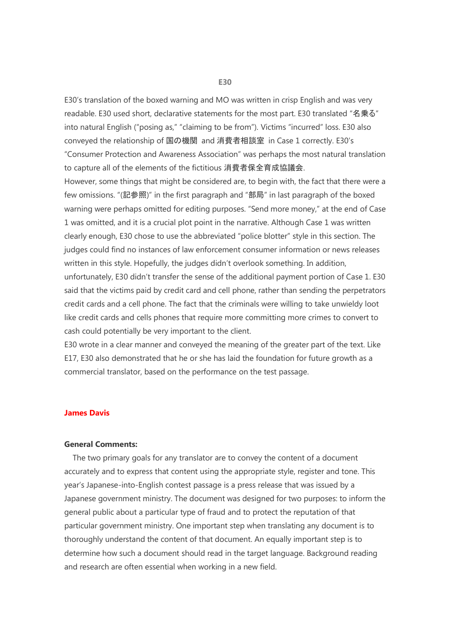E30's translation of the boxed warning and MO was written in crisp English and was very readable. E30 used short, declarative statements for the most part. E30 translated "名乗る" into natural English ("posing as," "claiming to be from"). Victims "incurred" loss. E30 also conveyed the relationship of 国の機関 and 消費者相談室 in Case 1 correctly. E30's "Consumer Protection and Awareness Association" was perhaps the most natural translation to capture all of the elements of the fictitious 消費者保全育成協議会.

However, some things that might be considered are, to begin with, the fact that there were a few omissions. "(記参照)" in the first paragraph and "部局" in last paragraph of the boxed warning were perhaps omitted for editing purposes. "Send more money," at the end of Case 1 was omitted, and it is a crucial plot point in the narrative. Although Case 1 was written clearly enough, E30 chose to use the abbreviated "police blotter" style in this section. The judges could find no instances of law enforcement consumer information or news releases written in this style. Hopefully, the judges didn't overlook something. In addition, unfortunately, E30 didn't transfer the sense of the additional payment portion of Case 1. E30 said that the victims paid by credit card and cell phone, rather than sending the perpetrators credit cards and a cell phone. The fact that the criminals were willing to take unwieldy loot like credit cards and cells phones that require more committing more crimes to convert to cash could potentially be very important to the client.

E30 wrote in a clear manner and conveyed the meaning of the greater part of the text. Like E17, E30 also demonstrated that he or she has laid the foundation for future growth as a commercial translator, based on the performance on the test passage.

## **James Davis**

## **General Comments:**

The two primary goals for any translator are to convey the content of a document accurately and to express that content using the appropriate style, register and tone. This year's Japanese-into-English contest passage is a press release that was issued by a Japanese government ministry. The document was designed for two purposes: to inform the general public about a particular type of fraud and to protect the reputation of that particular government ministry. One important step when translating any document is to thoroughly understand the content of that document. An equally important step is to determine how such a document should read in the target language. Background reading and research are often essential when working in a new field.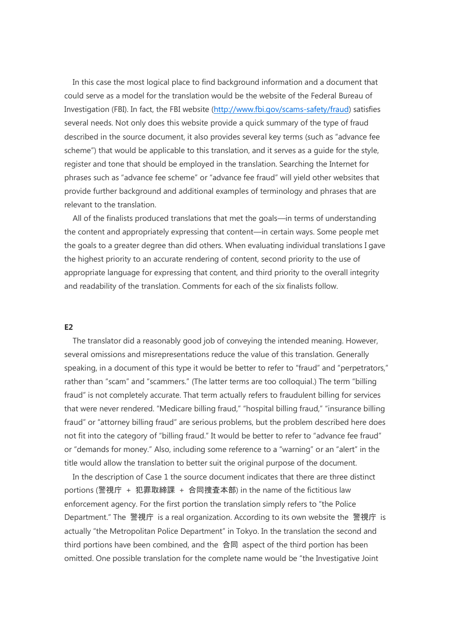In this case the most logical place to find background information and a document that could serve as a model for the translation would be the website of the Federal Bureau of Investigation (FBI). In fact, the FBI website [\(http://www.fbi.gov/scams-safety/fraud\)](http://www.fbi.gov/scams-safety/fraud) satisfies several needs. Not only does this website provide a quick summary of the type of fraud described in the source document, it also provides several key terms (such as "advance fee scheme") that would be applicable to this translation, and it serves as a guide for the style, register and tone that should be employed in the translation. Searching the Internet for phrases such as "advance fee scheme" or "advance fee fraud" will yield other websites that provide further background and additional examples of terminology and phrases that are relevant to the translation.

All of the finalists produced translations that met the goals—in terms of understanding the content and appropriately expressing that content—in certain ways. Some people met the goals to a greater degree than did others. When evaluating individual translations I gave the highest priority to an accurate rendering of content, second priority to the use of appropriate language for expressing that content, and third priority to the overall integrity and readability of the translation. Comments for each of the six finalists follow.

#### **E2**

The translator did a reasonably good job of conveying the intended meaning. However, several omissions and misrepresentations reduce the value of this translation. Generally speaking, in a document of this type it would be better to refer to "fraud" and "perpetrators," rather than "scam" and "scammers." (The latter terms are too colloquial.) The term "billing fraud" is not completely accurate. That term actually refers to fraudulent billing for services that were never rendered. "Medicare billing fraud," "hospital billing fraud," "insurance billing fraud" or "attorney billing fraud" are serious problems, but the problem described here does not fit into the category of "billing fraud." It would be better to refer to "advance fee fraud" or "demands for money." Also, including some reference to a "warning" or an "alert" in the title would allow the translation to better suit the original purpose of the document.

In the description of Case 1 the source document indicates that there are three distinct portions (警視庁 + 犯罪取締課 + 合同捜査本部) in the name of the fictitious law enforcement agency. For the first portion the translation simply refers to "the Police Department." The 警視庁 is a real organization. According to its own website the 警視庁 is actually "the Metropolitan Police Department" in Tokyo. In the translation the second and third portions have been combined, and the 合同 aspect of the third portion has been omitted. One possible translation for the complete name would be "the Investigative Joint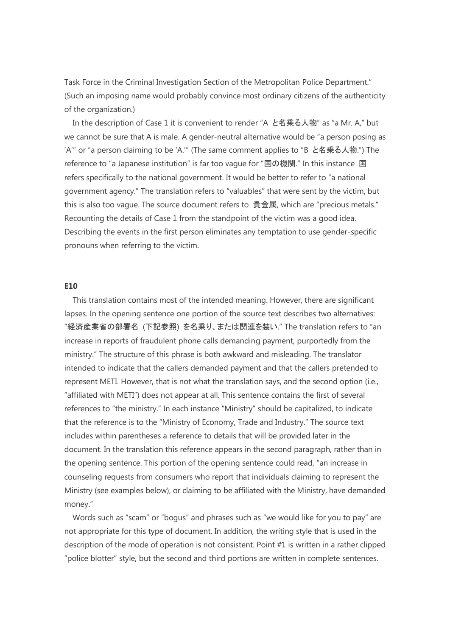Task Force in the Criminal Investigation Section of the Metropolitan Police Department." (Such an imposing name would probably convince most ordinary citizens of the authenticity of the organization.)

In the description of Case 1 it is convenient to render "A と名乗る人物" as "a Mr. A," but we cannot be sure that A is male. A gender-neutral alternative would be "a person posing as 'A'" or "a person claiming to be 'A.'" (The same comment applies to "B と名乗る人物.") The reference to "a Japanese institution" is far too vague for "国の機関." In this instance 国 refers specifically to the national government. It would be better to refer to "a national government agency." The translation refers to "valuables" that were sent by the victim, but this is also too vague. The source document refers to 貴金属, which are "precious metals." Recounting the details of Case 1 from the standpoint of the victim was a good idea. Describing the events in the first person eliminates any temptation to use gender-specific pronouns when referring to the victim.

## **E10**

This translation contains most of the intended meaning. However, there are significant lapses. In the opening sentence one portion of the source text describes two alternatives: "経済産業省の部署名 (下記参照) を名乗り、または関連を装い." The translation refers to "an increase in reports of fraudulent phone calls demanding payment, purportedly from the ministry." The structure of this phrase is both awkward and misleading. The translator intended to indicate that the callers demanded payment and that the callers pretended to represent METI. However, that is not what the translation says, and the second option (i.e., "affiliated with METI") does not appear at all. This sentence contains the first of several references to "the ministry." In each instance "Ministry" should be capitalized, to indicate that the reference is to the "Ministry of Economy, Trade and Industry." The source text includes within parentheses a reference to details that will be provided later in the document. In the translation this reference appears in the second paragraph, rather than in the opening sentence. This portion of the opening sentence could read, "an increase in counseling requests from consumers who report that individuals claiming to represent the Ministry (see examples below), or claiming to be affiliated with the Ministry, have demanded money."

Words such as "scam" or "bogus" and phrases such as "we would like for you to pay" are not appropriate for this type of document. In addition, the writing style that is used in the description of the mode of operation is not consistent. Point #1 is written in a rather clipped "police blotter" style, but the second and third portions are written in complete sentences.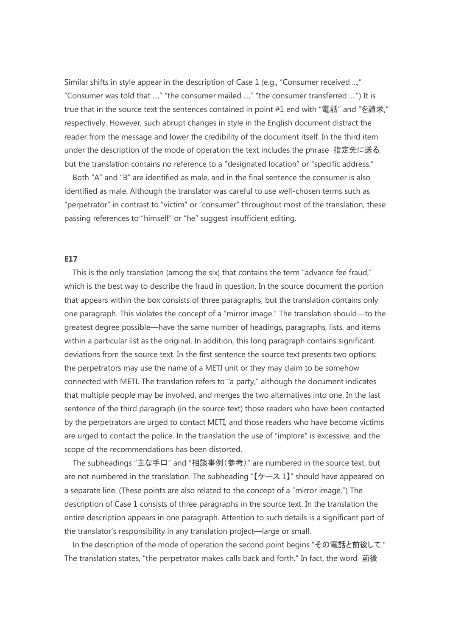Similar shifts in style appear in the description of Case 1 (e.g., "Consumer received ...," "Consumer was told that ...," "the consumer mailed ...," "the consumer transferred ....") It is true that in the source text the sentences contained in point #1 end with "電話" and "を請求," respectively. However, such abrupt changes in style in the English document distract the reader from the message and lower the credibility of the document itself. In the third item under the description of the mode of operation the text includes the phrase 指定先に送る, but the translation contains no reference to a "designated location" or "specific address."

Both "A" and "B" are identified as male, and in the final sentence the consumer is also identified as male. Although the translator was careful to use well-chosen terms such as "perpetrator" in contrast to "victim" or "consumer" throughout most of the translation, these passing references to "himself" or "he" suggest insufficient editing.

#### **E17**

This is the only translation (among the six) that contains the term "advance fee fraud," which is the best way to describe the fraud in question. In the source document the portion that appears within the box consists of three paragraphs, but the translation contains only one paragraph. This violates the concept of a "mirror image." The translation should—to the greatest degree possible—have the same number of headings, paragraphs, lists, and items within a particular list as the original. In addition, this long paragraph contains significant deviations from the source text. In the first sentence the source text presents two options: the perpetrators may use the name of a METI unit or they may claim to be somehow connected with METI. The translation refers to "a party," although the document indicates that multiple people may be involved, and merges the two alternatives into one. In the last sentence of the third paragraph (in the source text) those readers who have been contacted by the perpetrators are urged to contact METI, and those readers who have become victims are urged to contact the police. In the translation the use of "implore" is excessive, and the scope of the recommendations has been distorted.

The subheadings "主な手口" and "相談事例(参考)" are numbered in the source text, but are not numbered in the translation. The subheading " $[\gamma - \lambda 1]$ " should have appeared on a separate line. (These points are also related to the concept of a "mirror image.") The description of Case 1 consists of three paragraphs in the source text. In the translation the entire description appears in one paragraph. Attention to such details is a significant part of the translator's responsibility in any translation project—large or small.

In the description of the mode of operation the second point begins "その電話と前後して." The translation states, "the perpetrator makes calls back and forth." In fact, the word 前後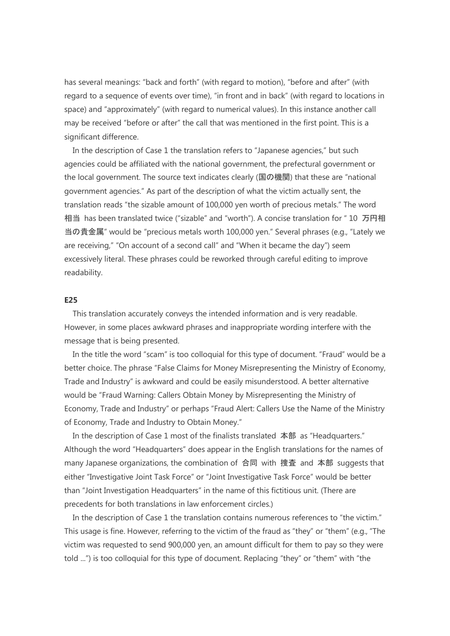has several meanings: "back and forth" (with regard to motion), "before and after" (with regard to a sequence of events over time), "in front and in back" (with regard to locations in space) and "approximately" (with regard to numerical values). In this instance another call may be received "before or after" the call that was mentioned in the first point. This is a significant difference.

In the description of Case 1 the translation refers to "Japanese agencies," but such agencies could be affiliated with the national government, the prefectural government or the local government. The source text indicates clearly (国の機関) that these are "national government agencies." As part of the description of what the victim actually sent, the translation reads "the sizable amount of 100,000 yen worth of precious metals." The word 相当 has been translated twice ("sizable" and "worth"). A concise translation for " 10 万円相 当の貴金属" would be "precious metals worth 100,000 yen." Several phrases (e.g., "Lately we are receiving," "On account of a second call" and "When it became the day") seem excessively literal. These phrases could be reworked through careful editing to improve readability.

#### **E25**

This translation accurately conveys the intended information and is very readable. However, in some places awkward phrases and inappropriate wording interfere with the message that is being presented.

In the title the word "scam" is too colloquial for this type of document. "Fraud" would be a better choice. The phrase "False Claims for Money Misrepresenting the Ministry of Economy, Trade and Industry" is awkward and could be easily misunderstood. A better alternative would be "Fraud Warning: Callers Obtain Money by Misrepresenting the Ministry of Economy, Trade and Industry" or perhaps "Fraud Alert: Callers Use the Name of the Ministry of Economy, Trade and Industry to Obtain Money."

In the description of Case 1 most of the finalists translated 本部 as "Headquarters." Although the word "Headquarters" does appear in the English translations for the names of many Japanese organizations, the combination of 合同 with 捜査 and 本部 suggests that either "Investigative Joint Task Force" or "Joint Investigative Task Force" would be better than "Joint Investigation Headquarters" in the name of this fictitious unit. (There are precedents for both translations in law enforcement circles.)

In the description of Case 1 the translation contains numerous references to "the victim." This usage is fine. However, referring to the victim of the fraud as "they" or "them" (e.g., "The victim was requested to send 900,000 yen, an amount difficult for them to pay so they were told ...") is too colloquial for this type of document. Replacing "they" or "them" with "the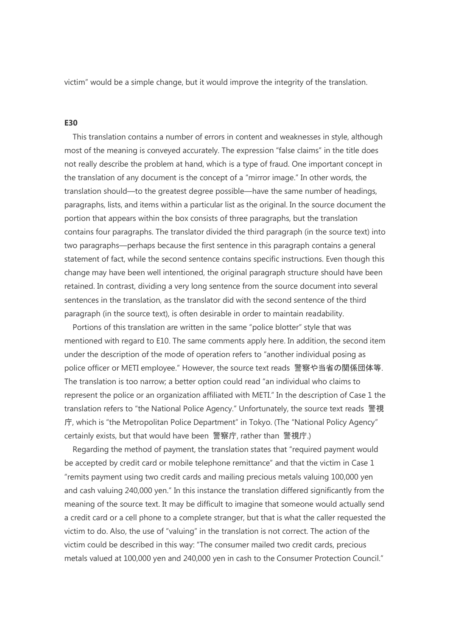victim" would be a simple change, but it would improve the integrity of the translation.

## **E30**

This translation contains a number of errors in content and weaknesses in style, although most of the meaning is conveyed accurately. The expression "false claims" in the title does not really describe the problem at hand, which is a type of fraud. One important concept in the translation of any document is the concept of a "mirror image." In other words, the translation should—to the greatest degree possible—have the same number of headings, paragraphs, lists, and items within a particular list as the original. In the source document the portion that appears within the box consists of three paragraphs, but the translation contains four paragraphs. The translator divided the third paragraph (in the source text) into two paragraphs—perhaps because the first sentence in this paragraph contains a general statement of fact, while the second sentence contains specific instructions. Even though this change may have been well intentioned, the original paragraph structure should have been retained. In contrast, dividing a very long sentence from the source document into several sentences in the translation, as the translator did with the second sentence of the third paragraph (in the source text), is often desirable in order to maintain readability.

Portions of this translation are written in the same "police blotter" style that was mentioned with regard to E10. The same comments apply here. In addition, the second item under the description of the mode of operation refers to "another individual posing as police officer or METI employee." However, the source text reads 警察や当省の関係団体等. The translation is too narrow; a better option could read "an individual who claims to represent the police or an organization affiliated with METI." In the description of Case 1 the translation refers to "the National Police Agency." Unfortunately, the source text reads 警視 庁, which is "the Metropolitan Police Department" in Tokyo. (The "National Policy Agency" certainly exists, but that would have been 警察庁, rather than 警視庁.)

Regarding the method of payment, the translation states that "required payment would be accepted by credit card or mobile telephone remittance" and that the victim in Case 1 "remits payment using two credit cards and mailing precious metals valuing 100,000 yen and cash valuing 240,000 yen." In this instance the translation differed significantly from the meaning of the source text. It may be difficult to imagine that someone would actually send a credit card or a cell phone to a complete stranger, but that is what the caller requested the victim to do. Also, the use of "valuing" in the translation is not correct. The action of the victim could be described in this way: "The consumer mailed two credit cards, precious metals valued at 100,000 yen and 240,000 yen in cash to the Consumer Protection Council."